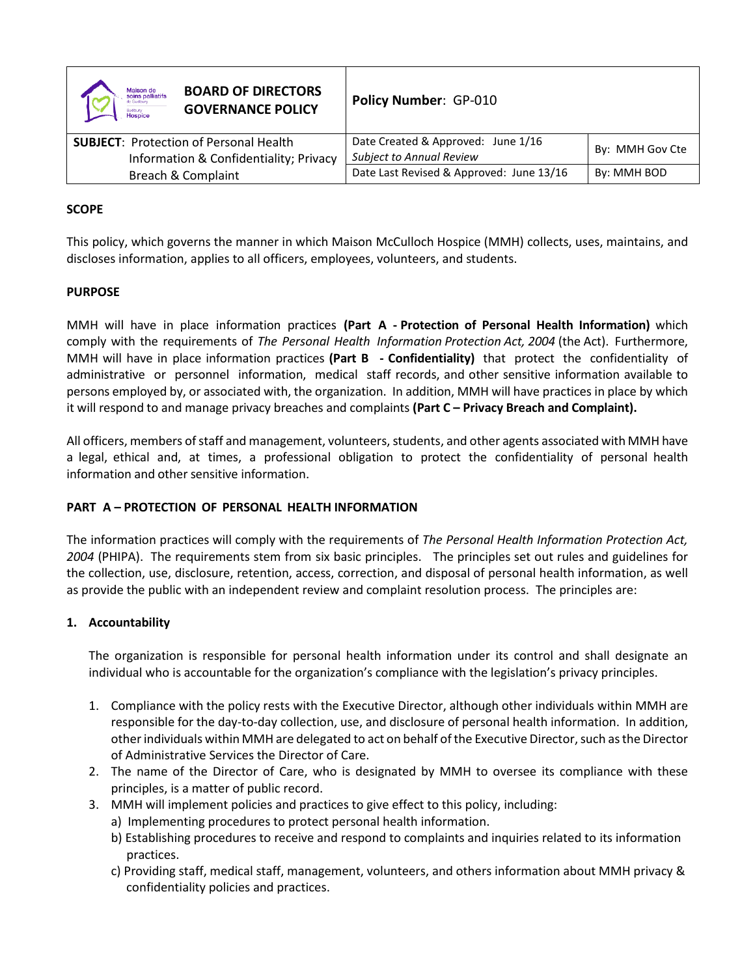| <b>BOARD OF DIRECTORS</b><br><b>Maison de<br/>soins palliatifs</b><br>de Sudbury<br><b>GOVERNANCE POLICY</b><br><b>Sudbury</b><br><b>Hospice</b> | Policy Number: GP-010                                                 |                 |
|--------------------------------------------------------------------------------------------------------------------------------------------------|-----------------------------------------------------------------------|-----------------|
| <b>SUBJECT: Protection of Personal Health</b><br>Information & Confidentiality; Privacy                                                          | Date Created & Approved: June 1/16<br><b>Subject to Annual Review</b> | By: MMH Gov Cte |
| Breach & Complaint                                                                                                                               | Date Last Revised & Approved: June 13/16                              | By: MMH BOD     |

# **SCOPE**

This policy, which governs the manner in which Maison McCulloch Hospice (MMH) collects, uses, maintains, and discloses information, applies to all officers, employees, volunteers, and students.

## **PURPOSE**

MMH will have in place information practices **(Part A - Protection of Personal Health Information)** which comply with the requirements of *The Personal Health Information Protection Act, 2004* (the Act). Furthermore, MMH will have in place information practices **(Part B - Confidentiality)** that protect the confidentiality of administrative or personnel information, medical staff records, and other sensitive information available to persons employed by, or associated with, the organization. In addition, MMH will have practices in place by which it will respond to and manage privacy breaches and complaints **(Part C – Privacy Breach and Complaint).**

All officers, members of staff and management, volunteers, students, and other agents associated with MMH have a legal, ethical and, at times, a professional obligation to protect the confidentiality of personal health information and other sensitive information.

# **PART A – PROTECTION OF PERSONAL HEALTH INFORMATION**

The information practices will comply with the requirements of *The Personal Health Information Protection Act, 2004* (PHIPA). The requirements stem from six basic principles. The principles set out rules and guidelines for the collection, use, disclosure, retention, access, correction, and disposal of personal health information, as well as provide the public with an independent review and complaint resolution process. The principles are:

# **1. Accountability**

The organization is responsible for personal health information under its control and shall designate an individual who is accountable for the organization's compliance with the legislation's privacy principles.

- 1. Compliance with the policy rests with the Executive Director, although other individuals within MMH are responsible for the day-to-day collection, use, and disclosure of personal health information. In addition, other individuals within MMH are delegated to act on behalf of the Executive Director, such as the Director of Administrative Services the Director of Care.
- 2. The name of the Director of Care, who is designated by MMH to oversee its compliance with these principles, is a matter of public record.
- 3. MMH will implement policies and practices to give effect to this policy, including:
	- a) Implementing procedures to protect personal health information.
	- b) Establishing procedures to receive and respond to complaints and inquiries related to its information practices.
	- c) Providing staff, medical staff, management, volunteers, and others information about MMH privacy & confidentiality policies and practices.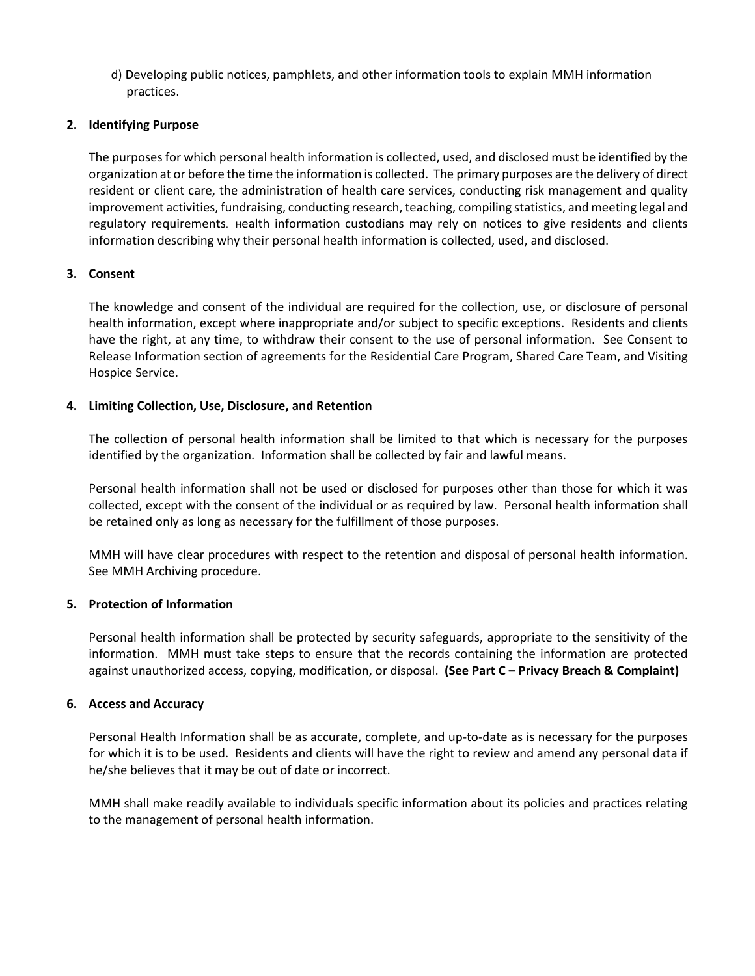d) Developing public notices, pamphlets, and other information tools to explain MMH information practices.

## **2. Identifying Purpose**

The purposes for which personal health information is collected, used, and disclosed must be identified by the organization at or before the time the information is collected. The primary purposes are the delivery of direct resident or client care, the administration of health care services, conducting risk management and quality improvement activities, fundraising, conducting research, teaching, compiling statistics, and meeting legal and regulatory requirements. Health information custodians may rely on notices to give residents and clients information describing why their personal health information is collected, used, and disclosed.

## **3. Consent**

The knowledge and consent of the individual are required for the collection, use, or disclosure of personal health information, except where inappropriate and/or subject to specific exceptions. Residents and clients have the right, at any time, to withdraw their consent to the use of personal information. See Consent to Release Information section of agreements for the Residential Care Program, Shared Care Team, and Visiting Hospice Service.

## **4. Limiting Collection, Use, Disclosure, and Retention**

The collection of personal health information shall be limited to that which is necessary for the purposes identified by the organization. Information shall be collected by fair and lawful means.

Personal health information shall not be used or disclosed for purposes other than those for which it was collected, except with the consent of the individual or as required by law. Personal health information shall be retained only as long as necessary for the fulfillment of those purposes.

MMH will have clear procedures with respect to the retention and disposal of personal health information. See MMH Archiving procedure.

#### **5. Protection of Information**

Personal health information shall be protected by security safeguards, appropriate to the sensitivity of the information. MMH must take steps to ensure that the records containing the information are protected against unauthorized access, copying, modification, or disposal. **(See Part C – Privacy Breach & Complaint)**

#### **6. Access and Accuracy**

Personal Health Information shall be as accurate, complete, and up-to-date as is necessary for the purposes for which it is to be used. Residents and clients will have the right to review and amend any personal data if he/she believes that it may be out of date or incorrect.

MMH shall make readily available to individuals specific information about its policies and practices relating to the management of personal health information.